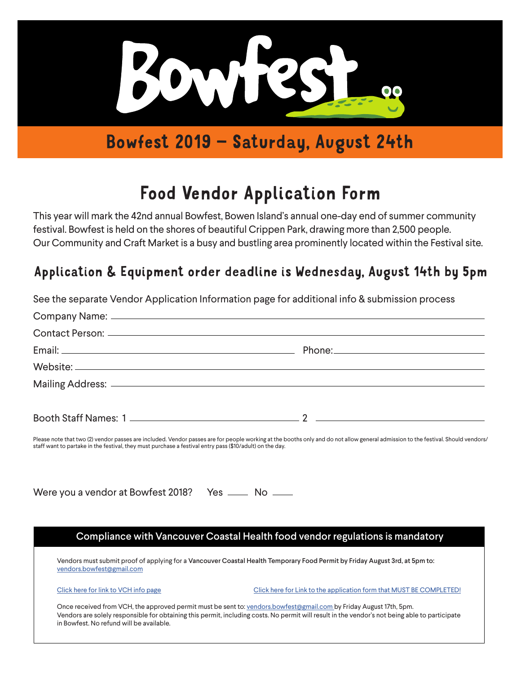

## Bowfest 2019 – Saturday, August 24th

# Food Vendor Application Form

This year will mark the 42nd annual Bowfest, Bowen Island's annual one-day end of summer community festival. Bowfest is held on the shores of beautiful Crippen Park, drawing more than 2,500 people. Our Community and Craft Market is a busy and bustling area prominently located within the Festival site.

### Application & Equipment order deadline is Wednesday, August 14th by 5pm

|                                                                                                          | See the separate Vendor Application Information page for additional info & submission process                                                                                                                                                                        |
|----------------------------------------------------------------------------------------------------------|----------------------------------------------------------------------------------------------------------------------------------------------------------------------------------------------------------------------------------------------------------------------|
|                                                                                                          |                                                                                                                                                                                                                                                                      |
|                                                                                                          |                                                                                                                                                                                                                                                                      |
|                                                                                                          |                                                                                                                                                                                                                                                                      |
|                                                                                                          |                                                                                                                                                                                                                                                                      |
|                                                                                                          |                                                                                                                                                                                                                                                                      |
|                                                                                                          |                                                                                                                                                                                                                                                                      |
| staff want to partake in the festival, they must purchase a festival entry pass (\$10/adult) on the day. | Please note that two (2) vendor passes are included. Vendor passes are for people working at the booths only and do not allow general admission to the festival. Should vendors/                                                                                     |
| Were you a vendor at Bowfest 2018? Yes ____ No ___                                                       |                                                                                                                                                                                                                                                                      |
|                                                                                                          | Compliance with Vancouver Coastal Health food vendor regulations is mandatory                                                                                                                                                                                        |
| vendors.bowfest@gmail.com                                                                                | Vendors must submit proof of applying for a Vancouver Coastal Health Temporary Food Permit by Friday August 3rd, at 5pm to:                                                                                                                                          |
| Click here for link to VCH info page                                                                     | Click here for Link to the application form that MUST BE COMPLETED!                                                                                                                                                                                                  |
| in Bowfest. No refund will be available.                                                                 | Once received from VCH, the approved permit must be sent to: vendors.bowfest@gmail.com by Friday August 17th, 5pm.<br>Vendors are solely responsible for obtaining this permit, including costs. No permit will result in the vendor's not being able to participate |
|                                                                                                          |                                                                                                                                                                                                                                                                      |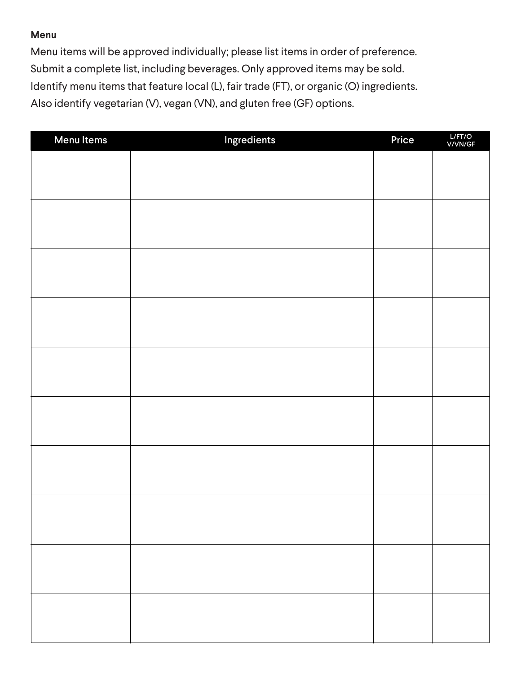#### **Menu**

Menu items will be approved individually; please list items in order of preference. Submit a complete list, including beverages. Only approved items may be sold. Identify menu items that feature local (L), fair trade (FT), or organic (O) ingredients. Also identify vegetarian (V), vegan (VN), and gluten free (GF) options.

| <b>Menu Items</b> | Ingredients | Price | L/FT/O<br>V/VN/GF |
|-------------------|-------------|-------|-------------------|
|                   |             |       |                   |
|                   |             |       |                   |
|                   |             |       |                   |
|                   |             |       |                   |
|                   |             |       |                   |
|                   |             |       |                   |
|                   |             |       |                   |
|                   |             |       |                   |
|                   |             |       |                   |
|                   |             |       |                   |
|                   |             |       |                   |
|                   |             |       |                   |
|                   |             |       |                   |
|                   |             |       |                   |
|                   |             |       |                   |
|                   |             |       |                   |
|                   |             |       |                   |
|                   |             |       |                   |
|                   |             |       |                   |
|                   |             |       |                   |
|                   |             |       |                   |
|                   |             |       |                   |
|                   |             |       |                   |
|                   |             |       |                   |